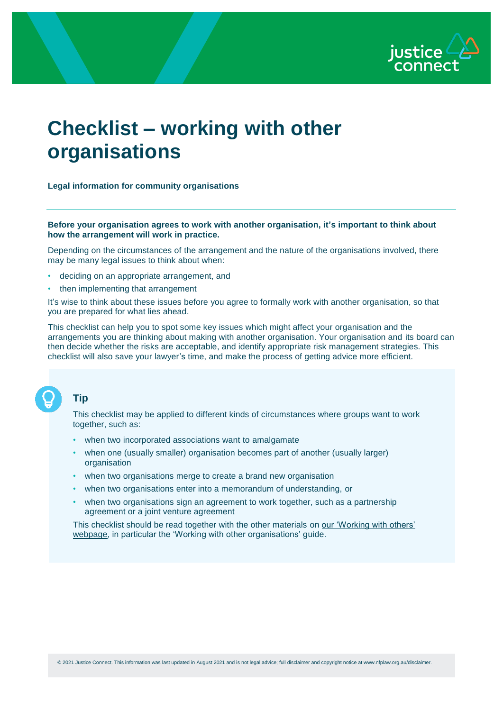

# **Checklist – working with other organisations**

#### **Legal information for community organisations**

#### **Before your organisation agrees to work with another organisation, it's important to think about how the arrangement will work in practice.**

Depending on the circumstances of the arrangement and the nature of the organisations involved, there may be many legal issues to think about when:

- deciding on an appropriate arrangement, and
- then implementing that arrangement

It's wise to think about these issues before you agree to formally work with another organisation, so that you are prepared for what lies ahead.

This checklist can help you to spot some key issues which might affect your organisation and the arrangements you are thinking about making with another organisation. Your organisation and its board can then decide whether the risks are acceptable, and identify appropriate risk management strategies. This checklist will also save your lawyer's time, and make the process of getting advice more efficient.

## **Tip**

This checklist may be applied to different kinds of circumstances where groups want to work together, such as:

- when two incorporated associations want to amalgamate
- when one (usually smaller) organisation becomes part of another (usually larger) organisation
- when two organisations merge to create a brand new organisation
- when two organisations enter into a memorandum of understanding, or
- when two organisations sign an agreement to work together, such as a partnership agreement or a joint venture agreement

This checklist should be read together with the other materials on [our 'Working with others'](http://www.nfplaw.org.au/workingwithothers)  [webpage](http://www.nfplaw.org.au/workingwithothers), in particular the 'Working with other organisations' guide.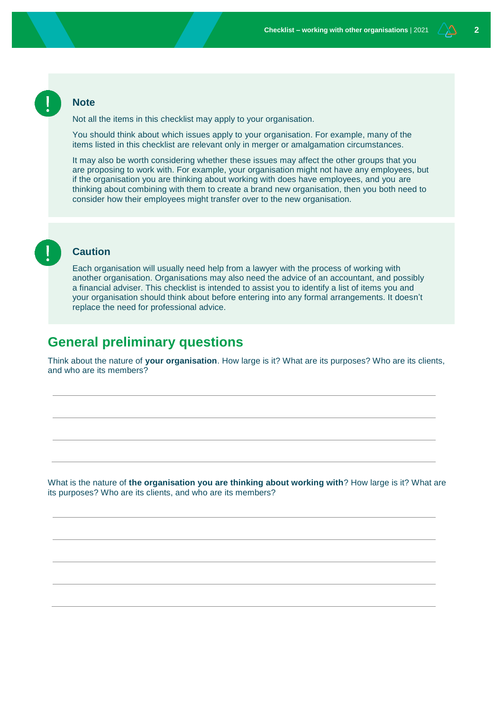#### **Note**

Not all the items in this checklist may apply to your organisation.

You should think about which issues apply to your organisation. For example, many of the items listed in this checklist are relevant only in merger or amalgamation circumstances.

It may also be worth considering whether these issues may affect the other groups that you are proposing to work with. For example, your organisation might not have any employees, but if the organisation you are thinking about working with does have employees, and you are thinking about combining with them to create a brand new organisation, then you both need to consider how their employees might transfer over to the new organisation.

#### **Caution**

Each organisation will usually need help from a lawyer with the process of working with another organisation. Organisations may also need the advice of an accountant, and possibly a financial adviser. This checklist is intended to assist you to identify a list of items you and your organisation should think about before entering into any formal arrangements. It doesn't replace the need for professional advice.

# **General preliminary questions**

Think about the nature of **your organisation**. How large is it? What are its purposes? Who are its clients, and who are its members?

What is the nature of **the organisation you are thinking about working with**? How large is it? What are its purposes? Who are its clients, and who are its members?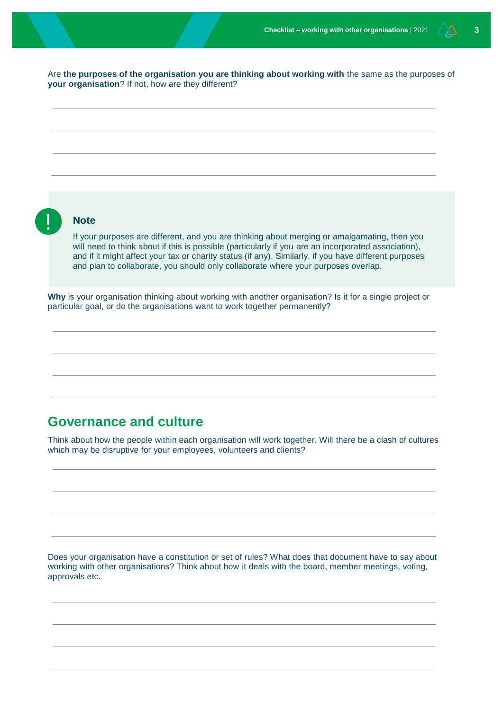Are **the purposes of the organisation you are thinking about working with** the same as the purposes of **your organisation**? If not, how are they different?



# **Governance and culture**

Think about how the people within each organisation will work together. Will there be a clash of cultures which may be disruptive for your employees, volunteers and clients?

Does your organisation have a constitution or set of rules? What does that document have to say about working with other organisations? Think about how it deals with the board, member meetings, voting, approvals etc.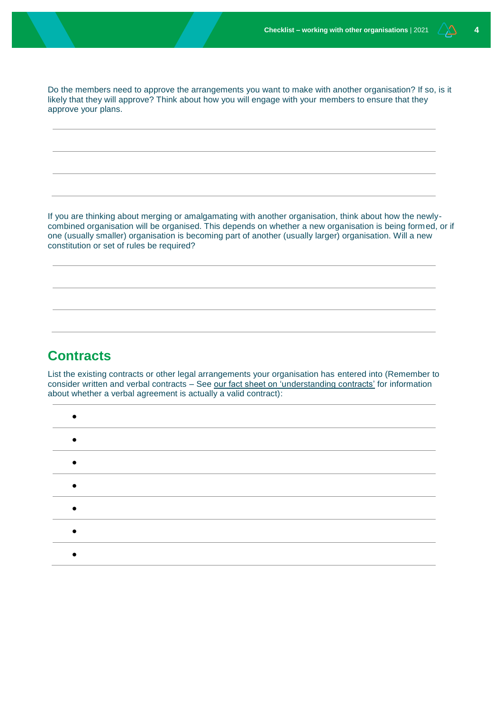Do the members need to approve the arrangements you want to make with another organisation? If so, is it likely that they will approve? Think about how you will engage with your members to ensure that they approve your plans.

If you are thinking about merging or amalgamating with another organisation, think about how the newlycombined organisation will be organised. This depends on whether a new organisation is being formed, or if one (usually smaller) organisation is becoming part of another (usually larger) organisation. Will a new constitution or set of rules be required?

# **Contracts**

List the existing contracts or other legal arrangements your organisation has entered into (Remember to consider written and verbal contracts - See [our fact sheet on 'understanding contracts'](http://www.nfplaw.org.au/contractsoverview) for information about whether a verbal agreement is actually a valid contract):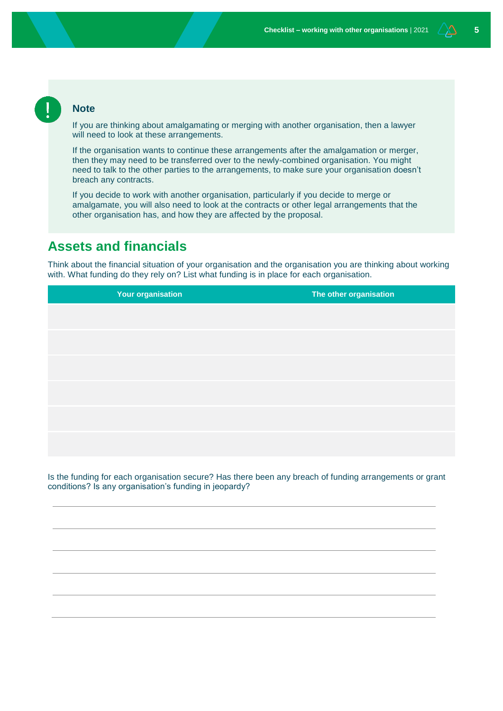#### **Note**

If you are thinking about amalgamating or merging with another organisation, then a lawyer will need to look at these arrangements.

If the organisation wants to continue these arrangements after the amalgamation or merger, then they may need to be transferred over to the newly-combined organisation. You might need to talk to the other parties to the arrangements, to make sure your organisation doesn't breach any contracts.

If you decide to work with another organisation, particularly if you decide to merge or amalgamate, you will also need to look at the contracts or other legal arrangements that the other organisation has, and how they are affected by the proposal.

# **Assets and financials**

Think about the financial situation of your organisation and the organisation you are thinking about working with. What funding do they rely on? List what funding is in place for each organisation.

**Your organisation The other organisation**

Is the funding for each organisation secure? Has there been any breach of funding arrangements or grant conditions? Is any organisation's funding in jeopardy?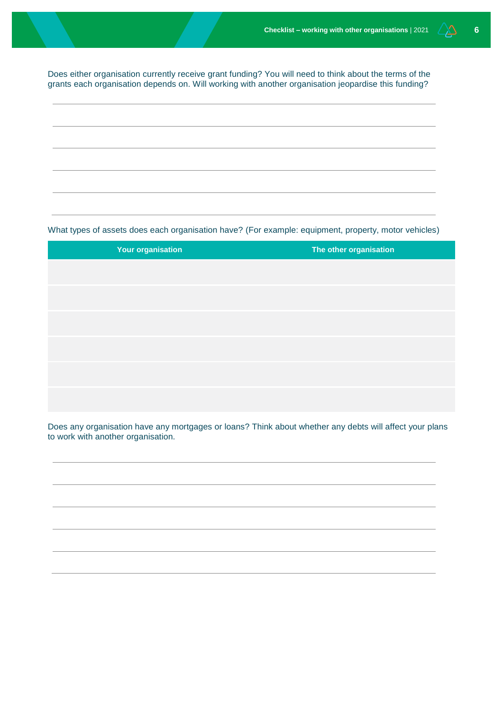Does either organisation currently receive grant funding? You will need to think about the terms of the grants each organisation depends on. Will working with another organisation jeopardise this funding?

What types of assets does each organisation have? (For example: equipment, property, motor vehicles)

| <b>Your organisation</b> | The other organisation |
|--------------------------|------------------------|
|                          |                        |
|                          |                        |
|                          |                        |
|                          |                        |
|                          |                        |
|                          |                        |
|                          |                        |

Does any organisation have any mortgages or loans? Think about whether any debts will affect your plans to work with another organisation.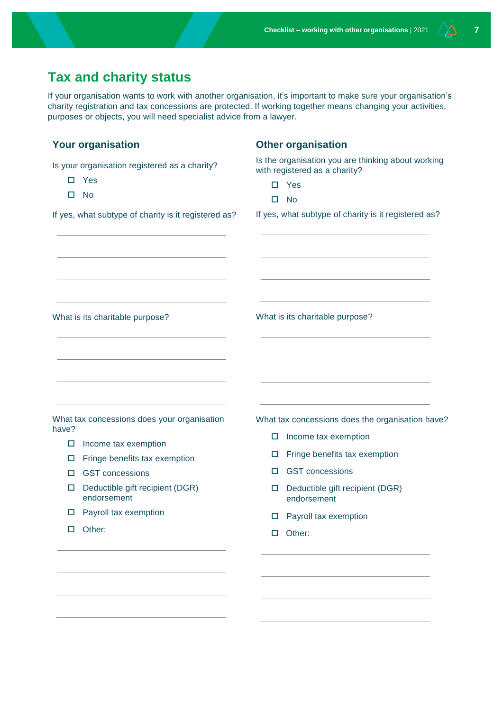# **Tax and charity status**

If your organisation wants to work with another organisation, it's important to make sure your organisation's charity registration and tax concessions are protected. If working together means changing your activities, purposes or objects, you will need specialist advice from a lawyer.

| <b>Your organisation</b>                                                                                                                                                | <b>Other organisation</b>                                                           |
|-------------------------------------------------------------------------------------------------------------------------------------------------------------------------|-------------------------------------------------------------------------------------|
| Is your organisation registered as a charity?                                                                                                                           | Is the organisation you are thinking about working<br>with registered as a charity? |
| Yes<br>0                                                                                                                                                                | $\square$ Yes                                                                       |
| □<br>No                                                                                                                                                                 | <b>No</b><br>□                                                                      |
| If yes, what subtype of charity is it registered as?                                                                                                                    | If yes, what subtype of charity is it registered as?                                |
| the control of the control of the control of the control of the control of the control of<br><u> 1989 - Johann Stein, mars an deus Amerikaansk kommunister (* 1958)</u> | the control of the control of the control of the control of the control of          |
| What is its charitable purpose?                                                                                                                                         | What is its charitable purpose?                                                     |
|                                                                                                                                                                         | the control of the control of the control of the control of the control of          |
| What tax concessions does your organisation<br>have?                                                                                                                    | What tax concessions does the organisation have?                                    |
| Income tax exemption<br>□                                                                                                                                               | Income tax exemption<br>□                                                           |
| Fringe benefits tax exemption<br>□                                                                                                                                      | Fringe benefits tax exemption<br>ப                                                  |
| <b>GST</b> concessions<br>о                                                                                                                                             | <b>GST</b> concessions<br>□                                                         |
| Deductible gift recipient (DGR)<br>□<br>endorsement                                                                                                                     | Deductible gift recipient (DGR)<br>□<br>endorsement                                 |
| Payroll tax exemption<br>□                                                                                                                                              | Payroll tax exemption<br>$\Box$                                                     |
| Other:<br>$\Box$                                                                                                                                                        | Other:<br>$\Box$                                                                    |
|                                                                                                                                                                         |                                                                                     |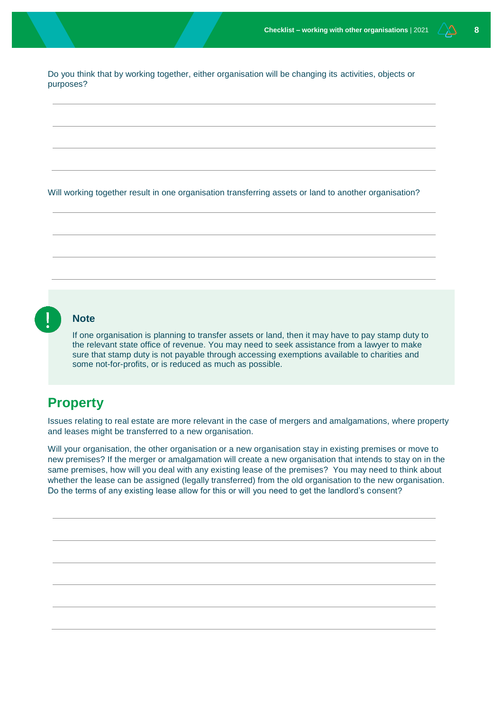Do you think that by working together, either organisation will be changing its activities, objects or purposes?

Will working together result in one organisation transferring assets or land to another organisation?

#### **Note**

If one organisation is planning to transfer assets or land, then it may have to pay stamp duty to the relevant state office of revenue. You may need to seek assistance from a lawyer to make sure that stamp duty is not payable through accessing exemptions available to charities and some not-for-profits, or is reduced as much as possible.

# **Property**

Issues relating to real estate are more relevant in the case of mergers and amalgamations, where property and leases might be transferred to a new organisation.

Will your organisation, the other organisation or a new organisation stay in existing premises or move to new premises? If the merger or amalgamation will create a new organisation that intends to stay on in the same premises, how will you deal with any existing lease of the premises? You may need to think about whether the lease can be assigned (legally transferred) from the old organisation to the new organisation. Do the terms of any existing lease allow for this or will you need to get the landlord's consent?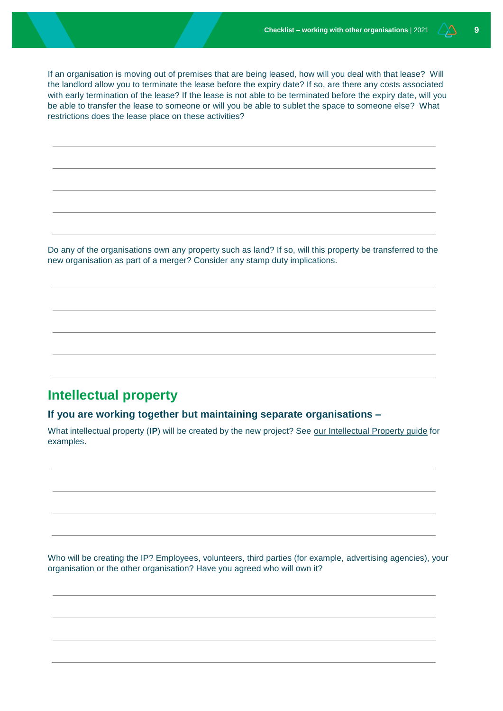If an organisation is moving out of premises that are being leased, how will you deal with that lease? Will the landlord allow you to terminate the lease before the expiry date? If so, are there any costs associated with early termination of the lease? If the lease is not able to be terminated before the expiry date, will you be able to transfer the lease to someone or will you be able to sublet the space to someone else? What restrictions does the lease place on these activities?

Do any of the organisations own any property such as land? If so, will this property be transferred to the new organisation as part of a merger? Consider any stamp duty implications.

# **Intellectual property**

**If you are working together but maintaining separate organisations –**

What intellectual property (**IP**) will be created by the new project? See [our Intellectual Property guide](http://www.nfplaw.org.au/ip) for examples.

Who will be creating the IP? Employees, volunteers, third parties (for example, advertising agencies), your organisation or the other organisation? Have you agreed who will own it?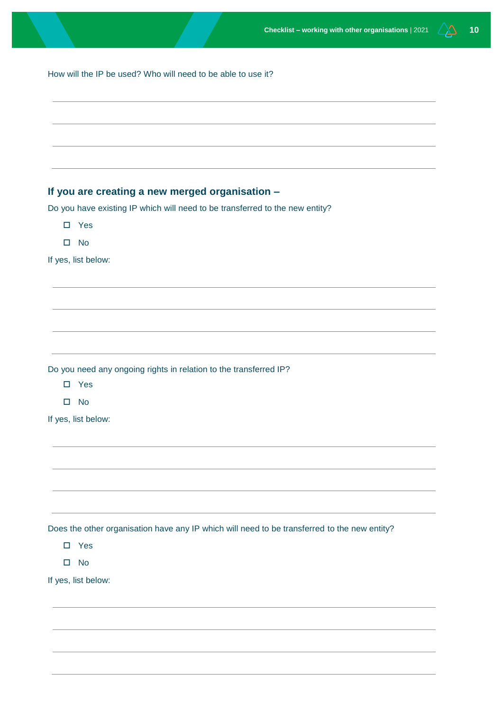| How will the IP be used? Who will need to be able to use it? |  |
|--------------------------------------------------------------|--|
|--------------------------------------------------------------|--|

### **If you are creating a new merged organisation –**

Do you have existing IP which will need to be transferred to the new entity?

- □ Yes
- □ No

If yes, list below:

Do you need any ongoing rights in relation to the transferred IP?

- Yes
- □ No

If yes, list below:

Does the other organisation have any IP which will need to be transferred to the new entity?

□ Yes

□ No

If yes, list below: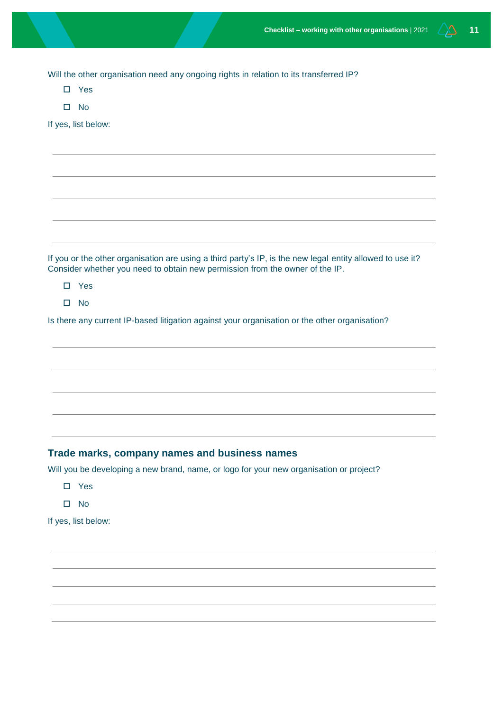Will the other organisation need any ongoing rights in relation to its transferred IP?

- □ Yes
- $\square$  No

If yes, list below:

If you or the other organisation are using a third party's IP, is the new legal entity allowed to use it? Consider whether you need to obtain new permission from the owner of the IP.

□ Yes

 $\square$  No

Is there any current IP-based litigation against your organisation or the other organisation?

#### **Trade marks, company names and business names**

Will you be developing a new brand, name, or logo for your new organisation or project?

- Yes
- □ No

If yes, list below: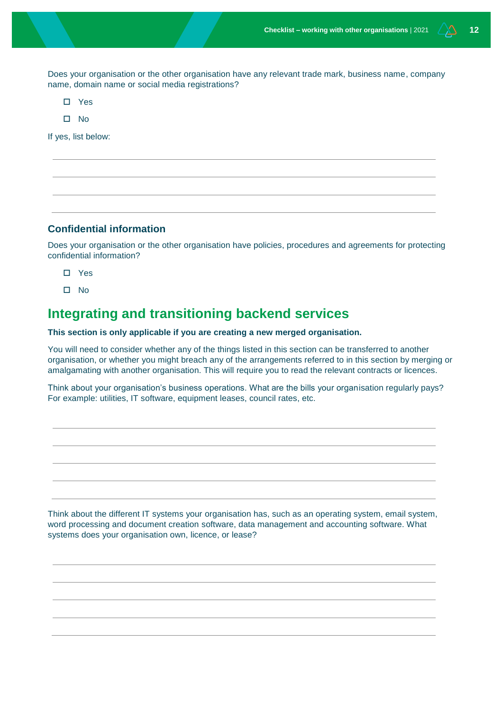Does your organisation or the other organisation have any relevant trade mark, business name, company name, domain name or social media registrations?

- Yes
- $\Pi$  No

If yes, list below:

#### **Confidential information**

Does your organisation or the other organisation have policies, procedures and agreements for protecting confidential information?

- Yes
- $\square$  No

# **Integrating and transitioning backend services**

#### **This section is only applicable if you are creating a new merged organisation.**

You will need to consider whether any of the things listed in this section can be transferred to another organisation, or whether you might breach any of the arrangements referred to in this section by merging or amalgamating with another organisation. This will require you to read the relevant contracts or licences.

Think about your organisation's business operations. What are the bills your organisation regularly pays? For example: utilities, IT software, equipment leases, council rates, etc.

Think about the different IT systems your organisation has, such as an operating system, email system, word processing and document creation software, data management and accounting software. What systems does your organisation own, licence, or lease?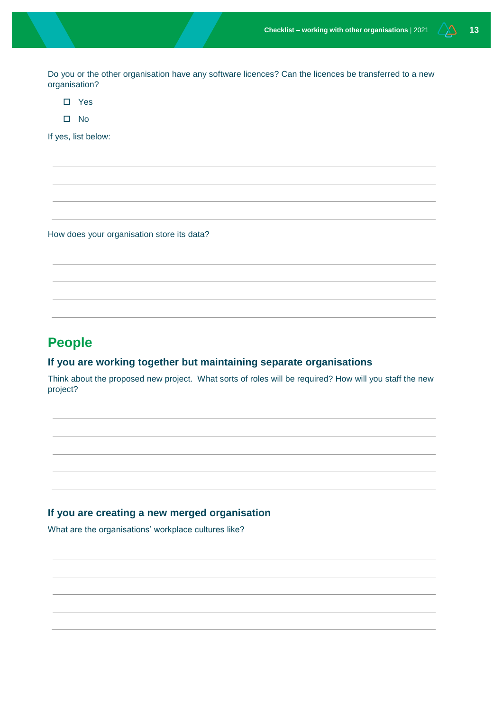Do you or the other organisation have any software licences? Can the licences be transferred to a new organisation?

- □ Yes
- $\square$  No

If yes, list below:

How does your organisation store its data?

# **People**

#### **If you are working together but maintaining separate organisations**

Think about the proposed new project. What sorts of roles will be required? How will you staff the new project?

#### **If you are creating a new merged organisation**

What are the organisations' workplace cultures like?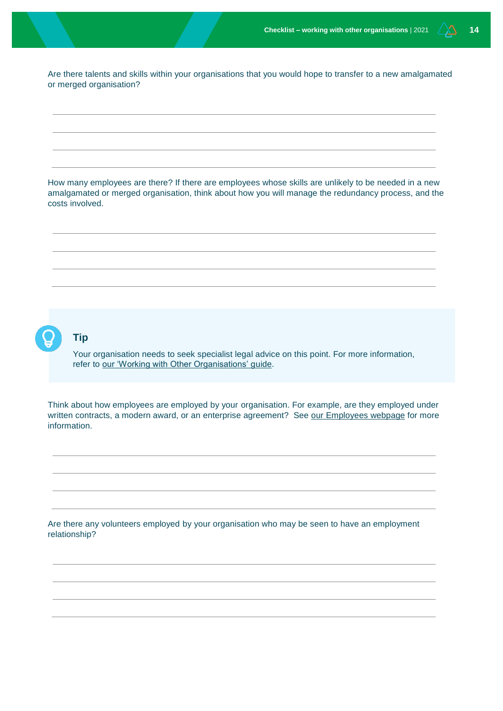Are there talents and skills within your organisations that you would hope to transfer to a new amalgamated or merged organisation?

How many employees are there? If there are employees whose skills are unlikely to be needed in a new amalgamated or merged organisation, think about how you will manage the redundancy process, and the costs involved.



#### **Tip**

Your organisation needs to seek specialist legal advice on this point. For more information, refer to [our 'Working with Other Organisations' guide.](http://www.nfplaw.org.au/workingwithothers)

Think about how employees are employed by your organisation. For example, are they employed under written contracts, a modern award, or an enterprise agreement? See [our Employees webpage](http://www.nfplaw.org.au/employees) for more information.

Are there any volunteers employed by your organisation who may be seen to have an employment relationship?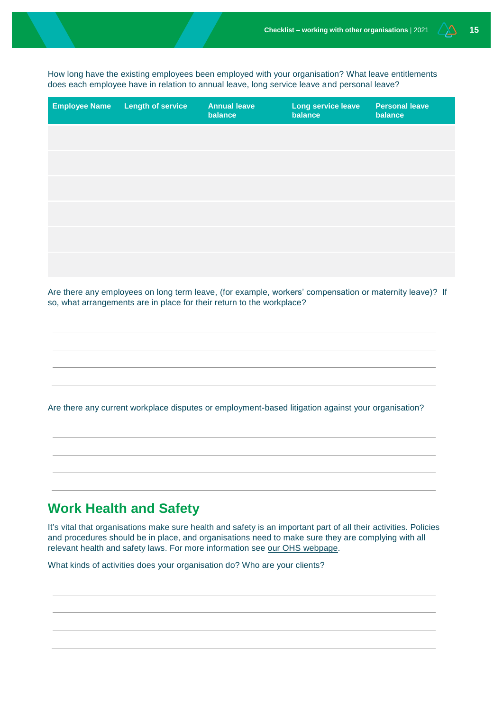How long have the existing employees been employed with your organisation? What leave entitlements does each employee have in relation to annual leave, long service leave and personal leave?

| <b>Employee Name</b> | <b>Length of service</b> | <b>Annual leave</b><br>balance | Long service leave<br>balance | <b>Personal leave</b><br>balance |
|----------------------|--------------------------|--------------------------------|-------------------------------|----------------------------------|
|                      |                          |                                |                               |                                  |
|                      |                          |                                |                               |                                  |
|                      |                          |                                |                               |                                  |
|                      |                          |                                |                               |                                  |
|                      |                          |                                |                               |                                  |
|                      |                          |                                |                               |                                  |

Are there any employees on long term leave, (for example, workers' compensation or maternity leave)? If so, what arrangements are in place for their return to the workplace?

Are there any current workplace disputes or employment-based litigation against your organisation?

# **Work Health and Safety**

It's vital that organisations make sure health and safety is an important part of all their activities. Policies and procedures should be in place, and organisations need to make sure they are complying with all relevant health and safety laws. For more information see our [OHS webpage.](http://www.nfplaw.org.au/OHS)

What kinds of activities does your organisation do? Who are your clients?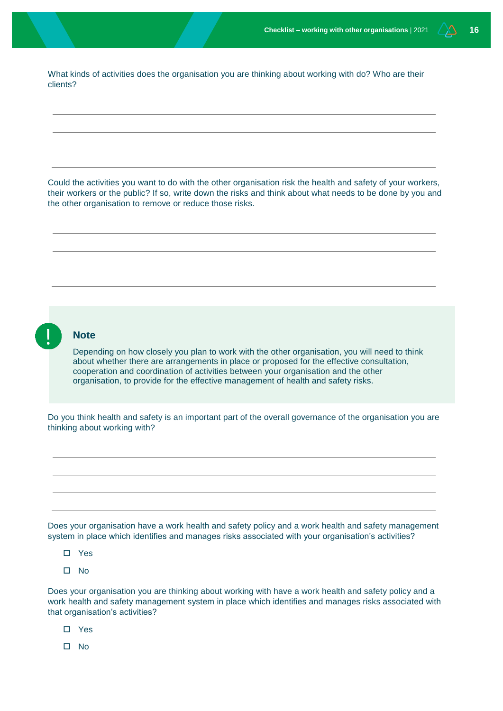What kinds of activities does the organisation you are thinking about working with do? Who are their clients?

Could the activities you want to do with the other organisation risk the health and safety of your workers, their workers or the public? If so, write down the risks and think about what needs to be done by you and the other organisation to remove or reduce those risks.



#### **Note**

Depending on how closely you plan to work with the other organisation, you will need to think about whether there are arrangements in place or proposed for the effective consultation, cooperation and coordination of activities between your organisation and the other organisation, to provide for the effective management of health and safety risks.

Do you think health and safety is an important part of the overall governance of the organisation you are thinking about working with?

Does your organisation have a work health and safety policy and a work health and safety management system in place which identifies and manages risks associated with your organisation's activities?

- Yes
- $\square$  No

Does your organisation you are thinking about working with have a work health and safety policy and a work health and safety management system in place which identifies and manages risks associated with that organisation's activities?

- Yes
- $\square$  No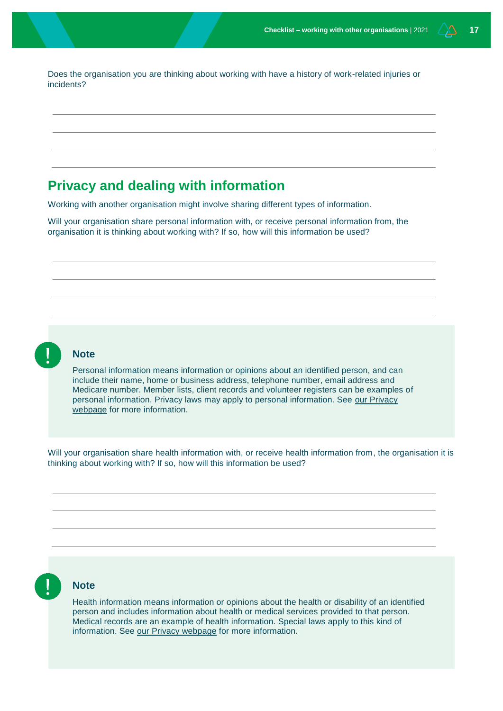Does the organisation you are thinking about working with have a history of work-related injuries or incidents?

# **Privacy and dealing with information**

Working with another organisation might involve sharing different types of information.

Will your organisation share personal information with, or receive personal information from, the organisation it is thinking about working with? If so, how will this information be used?



#### **Note**

Personal information means information or opinions about an identified person, and can include their name, home or business address, telephone number, email address and Medicare number. Member lists, client records and volunteer registers can be examples of personal information. Privacy laws may apply to personal information. See [our Privacy](http://www.nfplaw.org.au/privacy)  [webpage](http://www.nfplaw.org.au/privacy) for more information.

Will your organisation share health information with, or receive health information from, the organisation it is thinking about working with? If so, how will this information be used?



#### **Note**

Health information means information or opinions about the health or disability of an identified person and includes information about health or medical services provided to that person. Medical records are an example of health information. Special laws apply to this kind of information. See [our Privacy webpage](http://www.nfplaw.org.au/privacy) for more information.